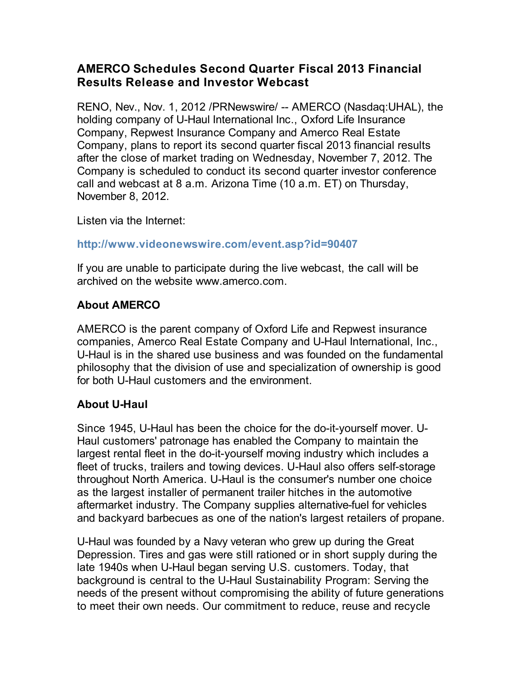## **AMERCO Schedules Second Quarter Fiscal 2013 Financial Results Release and Investor Webcast**

RENO, Nev., Nov. 1, 2012 /PRNewswire/ -- AMERCO (Nasdaq:UHAL), the holding company of U-Haul International Inc., Oxford Life Insurance Company, Repwest Insurance Company and Amerco Real Estate Company, plans to report its second quarter fiscal 2013 financial results after the close of market trading on Wednesday, November 7, 2012. The Company is scheduled to conduct its second quarter investor conference call and webcast at 8 a.m. Arizona Time (10 a.m. ET) on Thursday, November 8, 2012.

Listen via the Internet:

## **http://www.videonewswire.com/event.asp?id=90407**

If you are unable to participate during the live webcast, the call will be archived on the website www.amerco.com.

## **About AMERCO**

AMERCO is the parent company of Oxford Life and Repwest insurance companies, Amerco Real Estate Company and U-Haul International, Inc., U-Haul is in the shared use business and was founded on the fundamental philosophy that the division of use and specialization of ownership is good for both U-Haul customers and the environment.

## **About U-Haul**

Since 1945, U-Haul has been the choice for the do-it-yourself mover. U-Haul customers' patronage has enabled the Company to maintain the largest rental fleet in the do-it-yourself moving industry which includes a fleet of trucks, trailers and towing devices. U-Haul also offers self-storage throughout North America. U-Haul is the consumer's number one choice as the largest installer of permanent trailer hitches in the automotive aftermarket industry. The Company supplies alternative-fuel for vehicles and backyard barbecues as one of the nation's largest retailers of propane.

U-Haul was founded by a Navy veteran who grew up during the Great Depression. Tires and gas were still rationed or in short supply during the late 1940s when U-Haul began serving U.S. customers. Today, that background is central to the U-Haul Sustainability Program: Serving the needs of the present without compromising the ability of future generations to meet their own needs. Our commitment to reduce, reuse and recycle